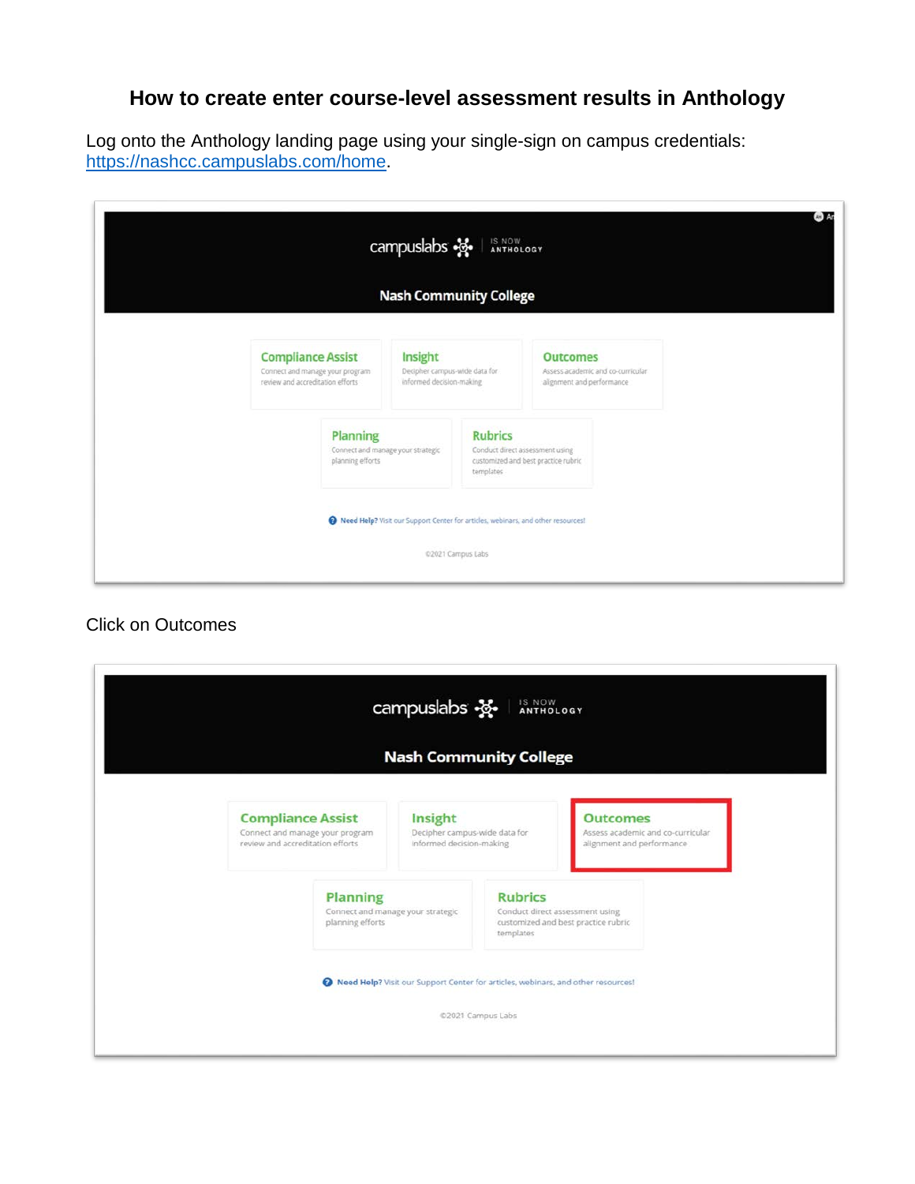# **How to create enter course-level assessment results in Anthology**

Log onto the Anthology landing page using your single-sign on campus credentials: [https://nashcc.campuslabs.com/home.](https://nashcc.campuslabs.com/home)

|                                                                                                 |                                                                   | campuslabs $\frac{32}{2}$<br><b>Nash Community College</b>                       | IS NOW<br>ANTHOLOGY         |                                                                        |                                   | AH) |
|-------------------------------------------------------------------------------------------------|-------------------------------------------------------------------|----------------------------------------------------------------------------------|-----------------------------|------------------------------------------------------------------------|-----------------------------------|-----|
| <b>Compliance Assist</b><br>Connect and manage your program<br>review and accreditation efforts |                                                                   | Insight<br>Decipher campus-wide data for<br>informed decision-making             |                             | <b>Outcomes</b><br>alignment and performance                           | Assess academic and co-curricular |     |
|                                                                                                 | Planning<br>Connect and manage your strategic<br>planning efforts |                                                                                  | <b>Rubrics</b><br>templates | Conduct direct assessment using<br>customized and best practice rubric |                                   |     |
|                                                                                                 |                                                                   | Reed Help? Visit our Support Center for articles, webinars, and other resources! | @2021 Campus Labs           |                                                                        |                                   |     |

## Click on Outcomes

|                                   | <b>Nash Community College</b>                                                    |                |                                     |  |
|-----------------------------------|----------------------------------------------------------------------------------|----------------|-------------------------------------|--|
| <b>Compliance Assist</b>          | Insight                                                                          |                | <b>Outcomes</b>                     |  |
| Connect and manage your program   | Decipher campus-wide data for                                                    |                | Assess academic and co-curricular   |  |
| review and accreditation efforts. | Informed decision-making                                                         |                | alignment and performance           |  |
| <b>Planning</b>                   | Connect and manage your strategic                                                | <b>Rubrics</b> | Conduct direct assessment using     |  |
| planning efforts                  |                                                                                  | templates      | customized and best practice rubric |  |
|                                   | Reed Help? Visit our Support Center for articles, webinars, and other resources! |                |                                     |  |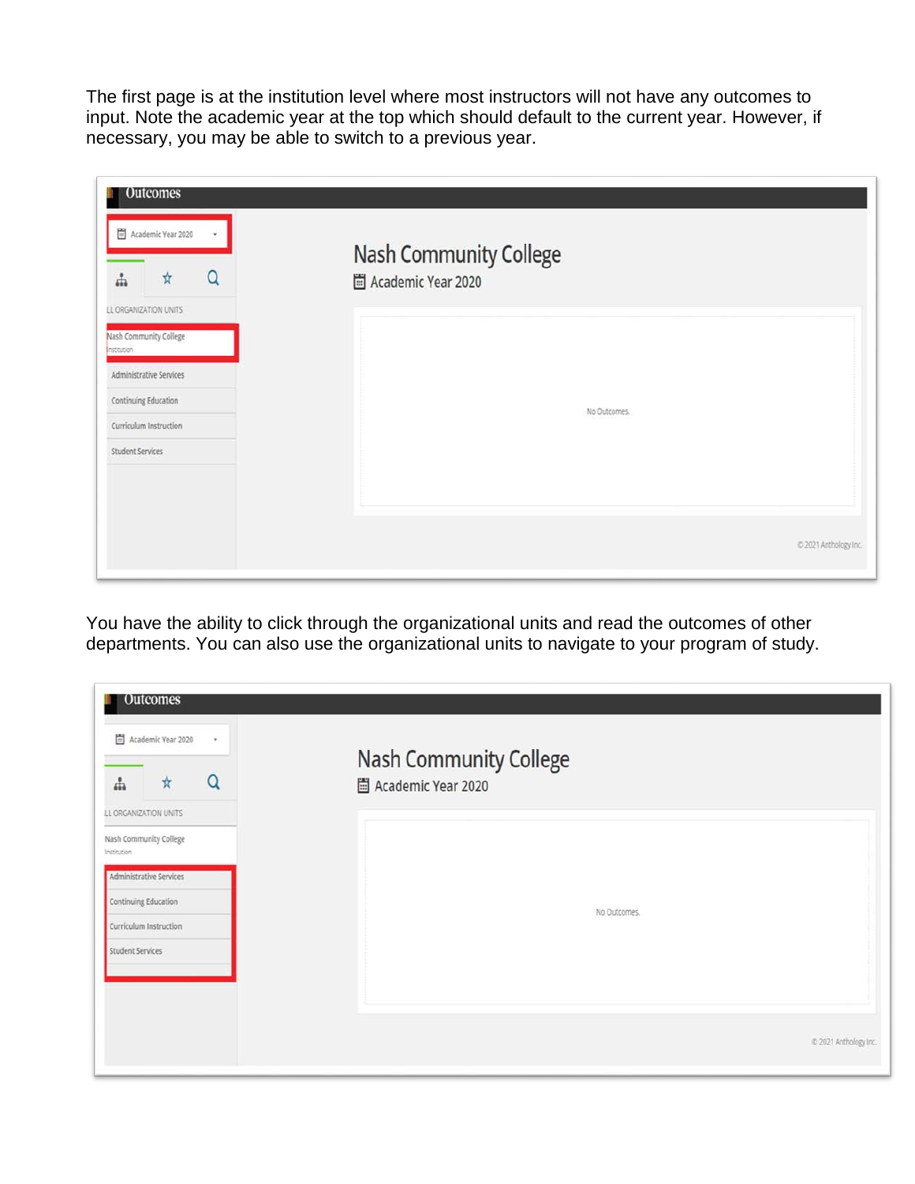The first page is at the institution level where most instructors will not have any outcomes to input. Note the academic year at the top which should default to the current year. However, if necessary, you may be able to switch to a previous year.

| <b>Outcomes</b><br>Academic Year 2020<br>٠<br>Q<br>$\boldsymbol{\star}$<br>å                                                                                           | Nash Community College<br>Academic Year 2020 |                       |
|------------------------------------------------------------------------------------------------------------------------------------------------------------------------|----------------------------------------------|-----------------------|
| LL ORGANIZATION UNITS<br>Nash Community College<br>Institution<br>Administrative Services<br>Continuing Education<br>Curriculum Instruction<br><b>Student Services</b> | No Outcomes.                                 |                       |
|                                                                                                                                                                        |                                              | C 2021 Anthology Inc. |

You have the ability to click through the organizational units and read the outcomes of other departments. You can also use the organizational units to navigate to your program of study.

| Academic Year 2020<br>$\star$<br>Q<br>$\frac{1}{N}$<br>÷ | Nash Community College<br>圖 Academic Year 2020 |                       |
|----------------------------------------------------------|------------------------------------------------|-----------------------|
| LL ORGANIZATION UNITS                                    |                                                |                       |
| Nash Community College<br>Institution                    |                                                |                       |
| Administrative Services                                  |                                                |                       |
| Continuing Education                                     | No Outcomes.                                   |                       |
| Curriculum Instruction                                   |                                                |                       |
| Student Services                                         |                                                |                       |
|                                                          |                                                |                       |
|                                                          |                                                |                       |
|                                                          |                                                | @ 2021 Anthology Inc. |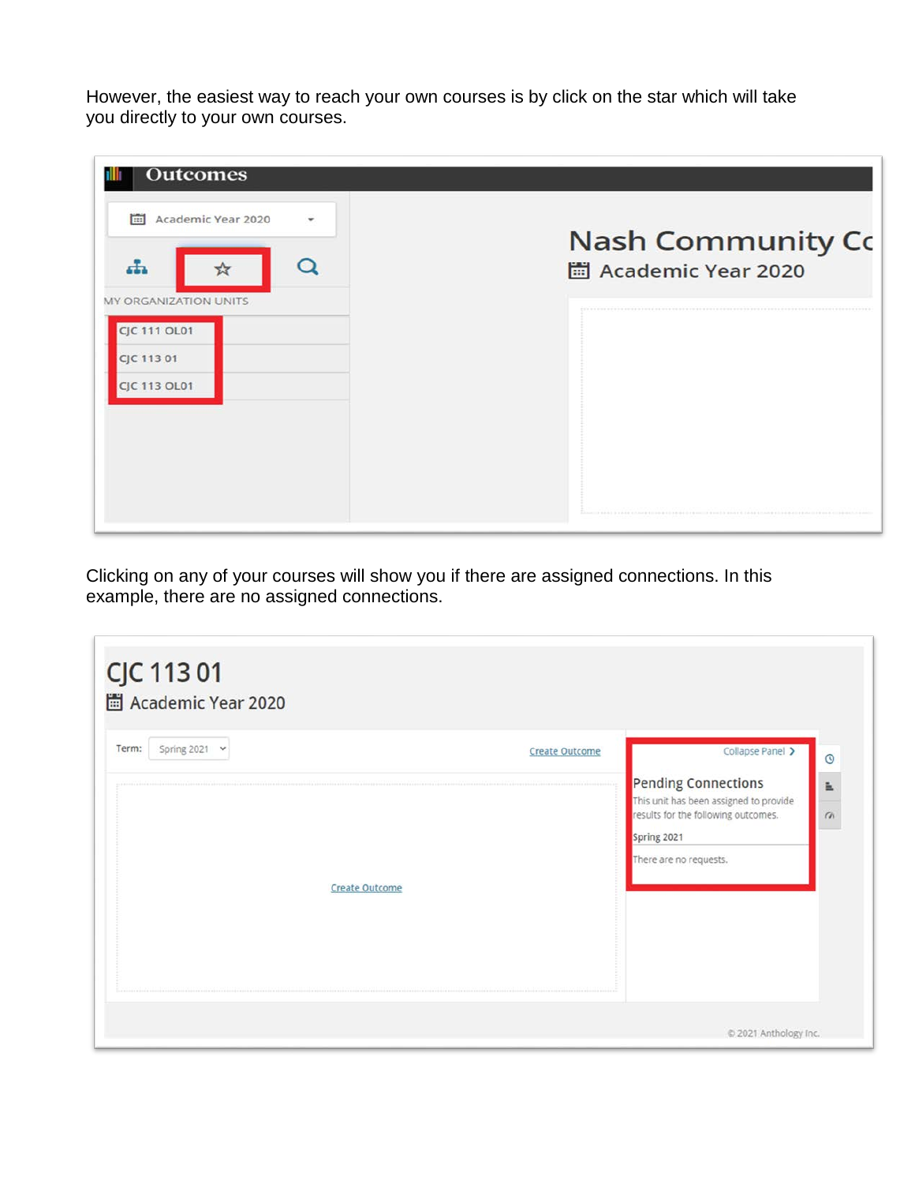However, the easiest way to reach your own courses is by click on the star which will take you directly to your own courses.

| <b>Outcomes</b>                                                                          |                                                              |
|------------------------------------------------------------------------------------------|--------------------------------------------------------------|
| 圖<br>Academic Year 2020<br>۰<br>d.                                                       | Nash Community Co<br>Academic Year 2020                      |
| <b>MY ORGANIZATION UNITS</b><br><b>CJC 111 OL01</b><br>CJC 113 01<br><b>CJC 113 OL01</b> |                                                              |
|                                                                                          |                                                              |
|                                                                                          | 多有病毒药 医前庭病 电传动磁器电位函数数学位为限制方位子类加以一条管的技术者 医抗性黄疸 医病毒毒素性血病毒素抗血病病 |

Clicking on any of your courses will show you if there are assigned connections. In this example, there are no assigned connections.

|                       | <b>Pending Connections</b>                                                    |               |
|-----------------------|-------------------------------------------------------------------------------|---------------|
|                       | This unit has been assigned to provide<br>results for the following outcomes. | 느<br>$\alpha$ |
|                       | Spring 2021                                                                   |               |
|                       | There are no requests.                                                        |               |
|                       |                                                                               |               |
|                       |                                                                               |               |
| <b>Create Outcome</b> |                                                                               |               |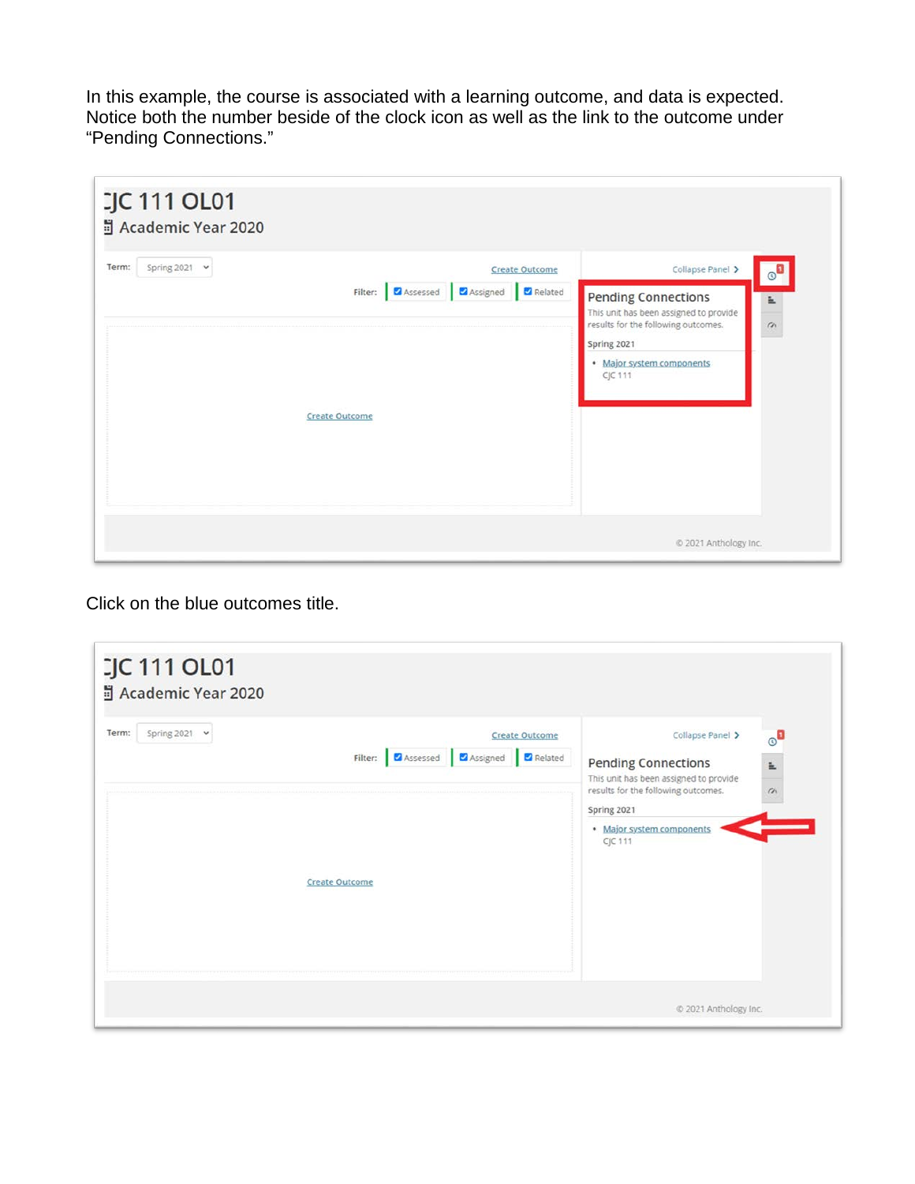In this example, the course is associated with a learning outcome, and data is expected. Notice both the number beside of the clock icon as well as the link to the outcome under "Pending Connections."

| Term:<br>Spring 2021 $\vee$ | <b>Create Outcome</b>                                                                 | Collapse Panel ><br>$\circ$ <sup>0</sup>                                                                                                                                             |
|-----------------------------|---------------------------------------------------------------------------------------|--------------------------------------------------------------------------------------------------------------------------------------------------------------------------------------|
|                             | Filter: <b>Z</b> Assessed <b>Z</b> Assigned <b>Z</b> Related<br><b>Create Outcome</b> | <b>Pending Connections</b><br>E.<br>This unit has been assigned to provide<br>results for the following outcomes.<br>$\alpha$<br>Spring 2021<br>· Major system components<br>CJC 111 |

Click on the blue outcomes title.

| Spring 2021 $\sim$<br>Term: |                       | Filter: Ø Assessed Ø Assigned Ø Related | <b>Create Outcome</b> | Collapse Panel ><br><b>Pending Connections</b><br>This unit has been assigned to provide   | $\circ^\blacksquare$<br>Ë. |
|-----------------------------|-----------------------|-----------------------------------------|-----------------------|--------------------------------------------------------------------------------------------|----------------------------|
|                             |                       |                                         |                       | results for the following outcomes.<br>Spring 2021<br>· Major system components<br>CJC 111 | $\alpha$                   |
|                             | <b>Create Outcome</b> |                                         |                       |                                                                                            |                            |
|                             |                       |                                         |                       |                                                                                            |                            |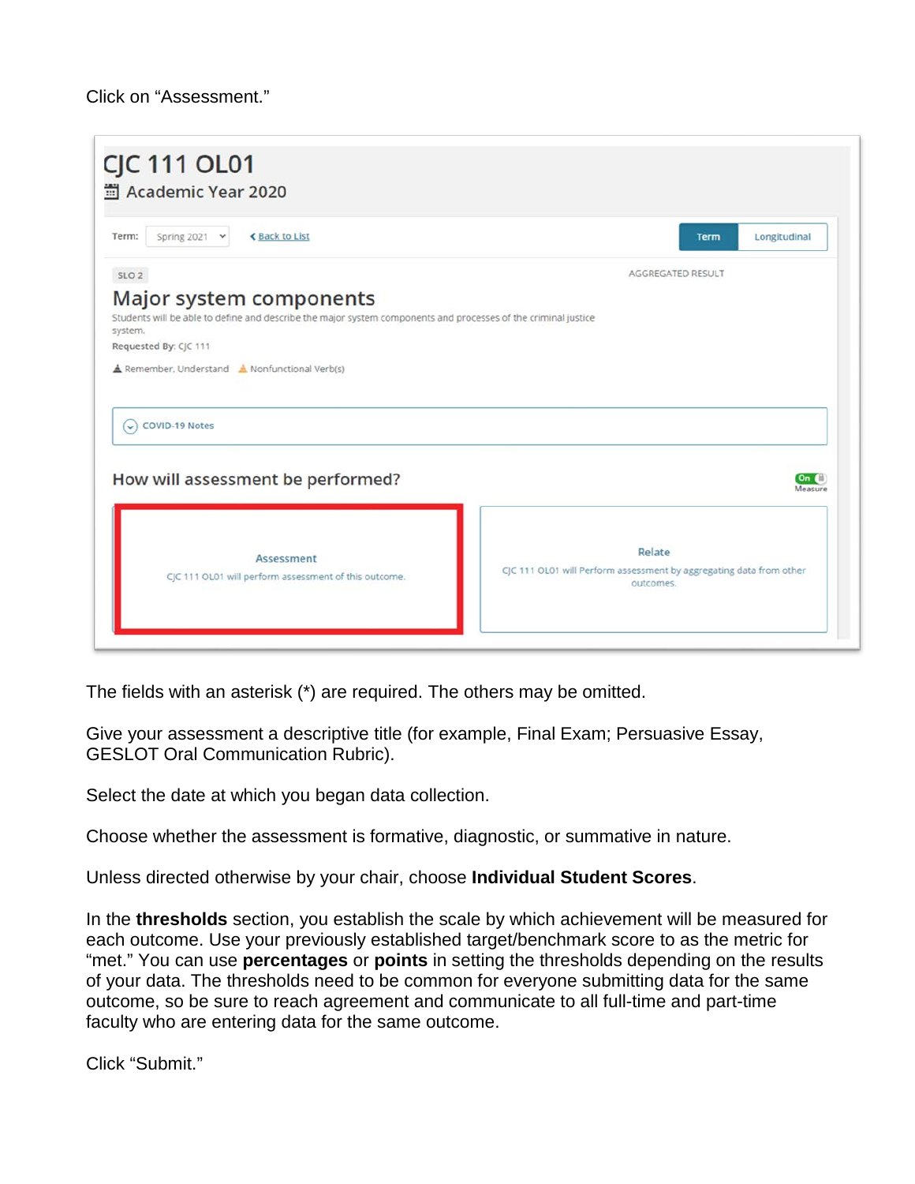#### Click on "Assessment."

| <b>≮Back to List</b><br>Spring 2021 v<br>Term:                        | Longitudinal<br><b>Term</b> |
|-----------------------------------------------------------------------|-----------------------------|
| SLO <sub>2</sub>                                                      | AGGREGATED RESULT           |
| Requested By: CJC 111<br>Remember, Understand A Nonfunctional Verb(s) |                             |
|                                                                       |                             |
| <b>COVID-19 Notes</b><br>$\vee$                                       |                             |
| How will assessment be performed?                                     | On<br>Measure               |

The fields with an asterisk (\*) are required. The others may be omitted.

Give your assessment a descriptive title (for example, Final Exam; Persuasive Essay, GESLOT Oral Communication Rubric).

Select the date at which you began data collection.

Choose whether the assessment is formative, diagnostic, or summative in nature.

Unless directed otherwise by your chair, choose **Individual Student Scores**.

In the **thresholds** section, you establish the scale by which achievement will be measured for each outcome. Use your previously established target/benchmark score to as the metric for "met." You can use **percentages** or **points** in setting the thresholds depending on the results of your data. The thresholds need to be common for everyone submitting data for the same outcome, so be sure to reach agreement and communicate to all full-time and part-time faculty who are entering data for the same outcome.

Click "Submit."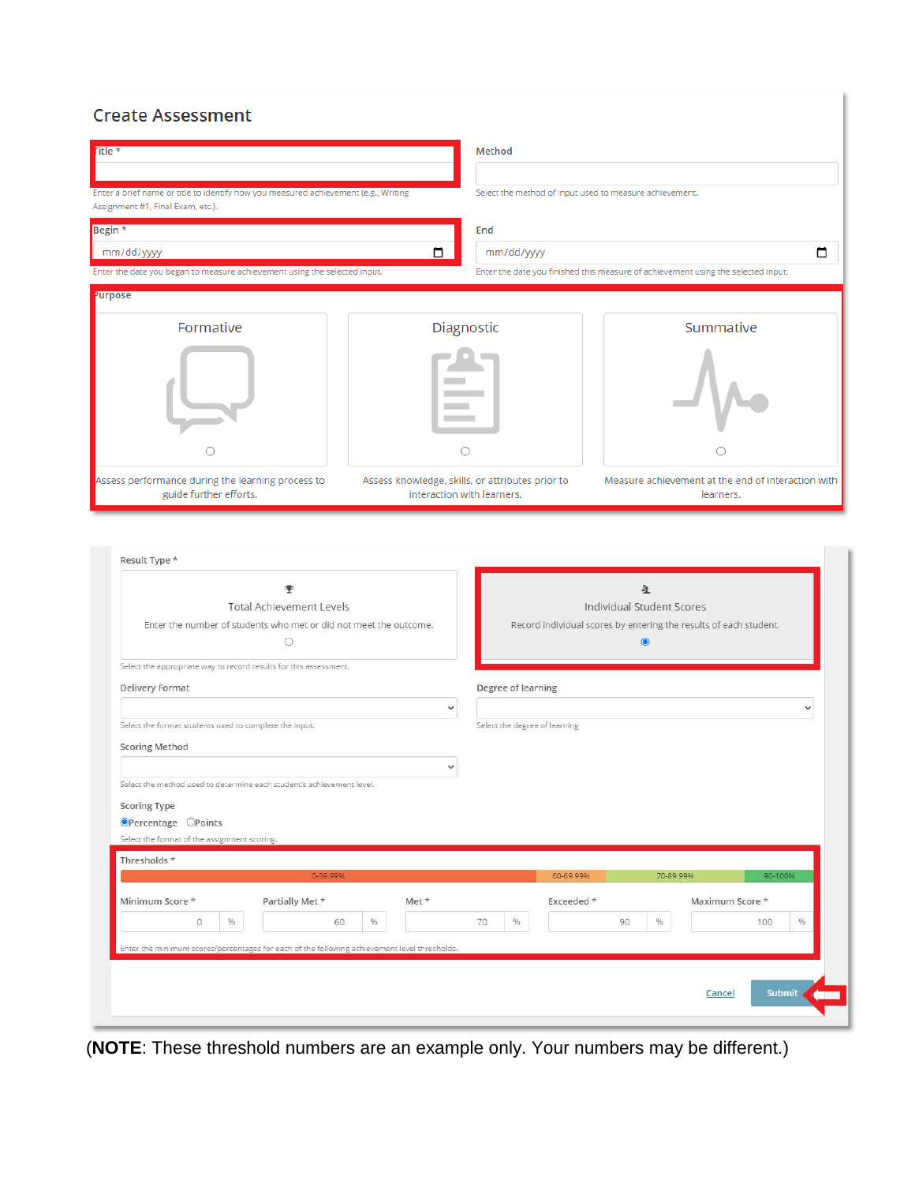#### **Create Assessment**

| Enter a brief name or title to identify how you measured achievement (e.g., Writing<br>Select the method of input used to measure achievement.<br>Assignment #1, Final Exam, etc.).<br>Begin <sup>*</sup><br>End<br>□<br>mm/dd/yyyy<br>mm/dd/yyyy<br>Enter the date you finished this measure of achievement using the selected input.<br>Enter the date you began to measure achievement using the selected input.<br><b>Purpose</b><br>Diagnostic<br>Summative<br>Formative<br>O<br>0<br>Assess performance during the learning process to<br>Assess knowledge, skills, or attributes prior to<br>Measure achievement at the end of interaction with<br>guide further efforts.<br>interaction with learners.<br>learners.<br>Result Type *<br>垕<br><b>Individual Student Scores</b><br><b>Total Achievement Levels</b><br>Enter the number of students who met or did not meet the outcome.<br>Record individual scores by entering the results of each student.<br>$\circ$<br>$\odot$<br>Select the appropriate way to record results for this assessment.<br>Degree of learning<br>Delivery Format<br>$\checkmark$<br>Select the format students used to complete the input.<br>Select the degree of learning<br><b>Scoring Method</b><br>Select the method used to determine each student's achievement level.<br>Scoring Type<br>OPercentage OPoints<br>Select the format of the assignment scoring.<br>Thresholds *<br>0-59.99%<br>70-89.99%<br>90-100%<br>60-69.99%<br>Partially Met *<br>Minimum Score *<br>Met *<br>Exceeded *<br>Maximum Score *<br>%<br>%<br>%<br>96.<br>$96$<br>$\circ$<br>60<br>70<br>90<br>100 | <b>Title</b> *                                                                               |  | Method |  |  |  |
|-------------------------------------------------------------------------------------------------------------------------------------------------------------------------------------------------------------------------------------------------------------------------------------------------------------------------------------------------------------------------------------------------------------------------------------------------------------------------------------------------------------------------------------------------------------------------------------------------------------------------------------------------------------------------------------------------------------------------------------------------------------------------------------------------------------------------------------------------------------------------------------------------------------------------------------------------------------------------------------------------------------------------------------------------------------------------------------------------------------------------------------------------------------------------------------------------------------------------------------------------------------------------------------------------------------------------------------------------------------------------------------------------------------------------------------------------------------------------------------------------------------------------------------------------------------------------------------------------------------------------------|----------------------------------------------------------------------------------------------|--|--------|--|--|--|
|                                                                                                                                                                                                                                                                                                                                                                                                                                                                                                                                                                                                                                                                                                                                                                                                                                                                                                                                                                                                                                                                                                                                                                                                                                                                                                                                                                                                                                                                                                                                                                                                                               |                                                                                              |  |        |  |  |  |
|                                                                                                                                                                                                                                                                                                                                                                                                                                                                                                                                                                                                                                                                                                                                                                                                                                                                                                                                                                                                                                                                                                                                                                                                                                                                                                                                                                                                                                                                                                                                                                                                                               |                                                                                              |  |        |  |  |  |
|                                                                                                                                                                                                                                                                                                                                                                                                                                                                                                                                                                                                                                                                                                                                                                                                                                                                                                                                                                                                                                                                                                                                                                                                                                                                                                                                                                                                                                                                                                                                                                                                                               |                                                                                              |  |        |  |  |  |
|                                                                                                                                                                                                                                                                                                                                                                                                                                                                                                                                                                                                                                                                                                                                                                                                                                                                                                                                                                                                                                                                                                                                                                                                                                                                                                                                                                                                                                                                                                                                                                                                                               |                                                                                              |  |        |  |  |  |
|                                                                                                                                                                                                                                                                                                                                                                                                                                                                                                                                                                                                                                                                                                                                                                                                                                                                                                                                                                                                                                                                                                                                                                                                                                                                                                                                                                                                                                                                                                                                                                                                                               |                                                                                              |  |        |  |  |  |
|                                                                                                                                                                                                                                                                                                                                                                                                                                                                                                                                                                                                                                                                                                                                                                                                                                                                                                                                                                                                                                                                                                                                                                                                                                                                                                                                                                                                                                                                                                                                                                                                                               |                                                                                              |  |        |  |  |  |
|                                                                                                                                                                                                                                                                                                                                                                                                                                                                                                                                                                                                                                                                                                                                                                                                                                                                                                                                                                                                                                                                                                                                                                                                                                                                                                                                                                                                                                                                                                                                                                                                                               |                                                                                              |  |        |  |  |  |
|                                                                                                                                                                                                                                                                                                                                                                                                                                                                                                                                                                                                                                                                                                                                                                                                                                                                                                                                                                                                                                                                                                                                                                                                                                                                                                                                                                                                                                                                                                                                                                                                                               |                                                                                              |  |        |  |  |  |
|                                                                                                                                                                                                                                                                                                                                                                                                                                                                                                                                                                                                                                                                                                                                                                                                                                                                                                                                                                                                                                                                                                                                                                                                                                                                                                                                                                                                                                                                                                                                                                                                                               |                                                                                              |  |        |  |  |  |
|                                                                                                                                                                                                                                                                                                                                                                                                                                                                                                                                                                                                                                                                                                                                                                                                                                                                                                                                                                                                                                                                                                                                                                                                                                                                                                                                                                                                                                                                                                                                                                                                                               |                                                                                              |  |        |  |  |  |
|                                                                                                                                                                                                                                                                                                                                                                                                                                                                                                                                                                                                                                                                                                                                                                                                                                                                                                                                                                                                                                                                                                                                                                                                                                                                                                                                                                                                                                                                                                                                                                                                                               |                                                                                              |  |        |  |  |  |
|                                                                                                                                                                                                                                                                                                                                                                                                                                                                                                                                                                                                                                                                                                                                                                                                                                                                                                                                                                                                                                                                                                                                                                                                                                                                                                                                                                                                                                                                                                                                                                                                                               |                                                                                              |  |        |  |  |  |
|                                                                                                                                                                                                                                                                                                                                                                                                                                                                                                                                                                                                                                                                                                                                                                                                                                                                                                                                                                                                                                                                                                                                                                                                                                                                                                                                                                                                                                                                                                                                                                                                                               |                                                                                              |  |        |  |  |  |
|                                                                                                                                                                                                                                                                                                                                                                                                                                                                                                                                                                                                                                                                                                                                                                                                                                                                                                                                                                                                                                                                                                                                                                                                                                                                                                                                                                                                                                                                                                                                                                                                                               |                                                                                              |  |        |  |  |  |
|                                                                                                                                                                                                                                                                                                                                                                                                                                                                                                                                                                                                                                                                                                                                                                                                                                                                                                                                                                                                                                                                                                                                                                                                                                                                                                                                                                                                                                                                                                                                                                                                                               |                                                                                              |  |        |  |  |  |
|                                                                                                                                                                                                                                                                                                                                                                                                                                                                                                                                                                                                                                                                                                                                                                                                                                                                                                                                                                                                                                                                                                                                                                                                                                                                                                                                                                                                                                                                                                                                                                                                                               |                                                                                              |  |        |  |  |  |
|                                                                                                                                                                                                                                                                                                                                                                                                                                                                                                                                                                                                                                                                                                                                                                                                                                                                                                                                                                                                                                                                                                                                                                                                                                                                                                                                                                                                                                                                                                                                                                                                                               |                                                                                              |  |        |  |  |  |
|                                                                                                                                                                                                                                                                                                                                                                                                                                                                                                                                                                                                                                                                                                                                                                                                                                                                                                                                                                                                                                                                                                                                                                                                                                                                                                                                                                                                                                                                                                                                                                                                                               |                                                                                              |  |        |  |  |  |
|                                                                                                                                                                                                                                                                                                                                                                                                                                                                                                                                                                                                                                                                                                                                                                                                                                                                                                                                                                                                                                                                                                                                                                                                                                                                                                                                                                                                                                                                                                                                                                                                                               |                                                                                              |  |        |  |  |  |
|                                                                                                                                                                                                                                                                                                                                                                                                                                                                                                                                                                                                                                                                                                                                                                                                                                                                                                                                                                                                                                                                                                                                                                                                                                                                                                                                                                                                                                                                                                                                                                                                                               |                                                                                              |  |        |  |  |  |
|                                                                                                                                                                                                                                                                                                                                                                                                                                                                                                                                                                                                                                                                                                                                                                                                                                                                                                                                                                                                                                                                                                                                                                                                                                                                                                                                                                                                                                                                                                                                                                                                                               |                                                                                              |  |        |  |  |  |
|                                                                                                                                                                                                                                                                                                                                                                                                                                                                                                                                                                                                                                                                                                                                                                                                                                                                                                                                                                                                                                                                                                                                                                                                                                                                                                                                                                                                                                                                                                                                                                                                                               |                                                                                              |  |        |  |  |  |
|                                                                                                                                                                                                                                                                                                                                                                                                                                                                                                                                                                                                                                                                                                                                                                                                                                                                                                                                                                                                                                                                                                                                                                                                                                                                                                                                                                                                                                                                                                                                                                                                                               | Enter the minimum scores/percentages for each of the following achievement level thresholds. |  |        |  |  |  |

(**NOTE**: These threshold numbers are an example only. Your numbers may be different.)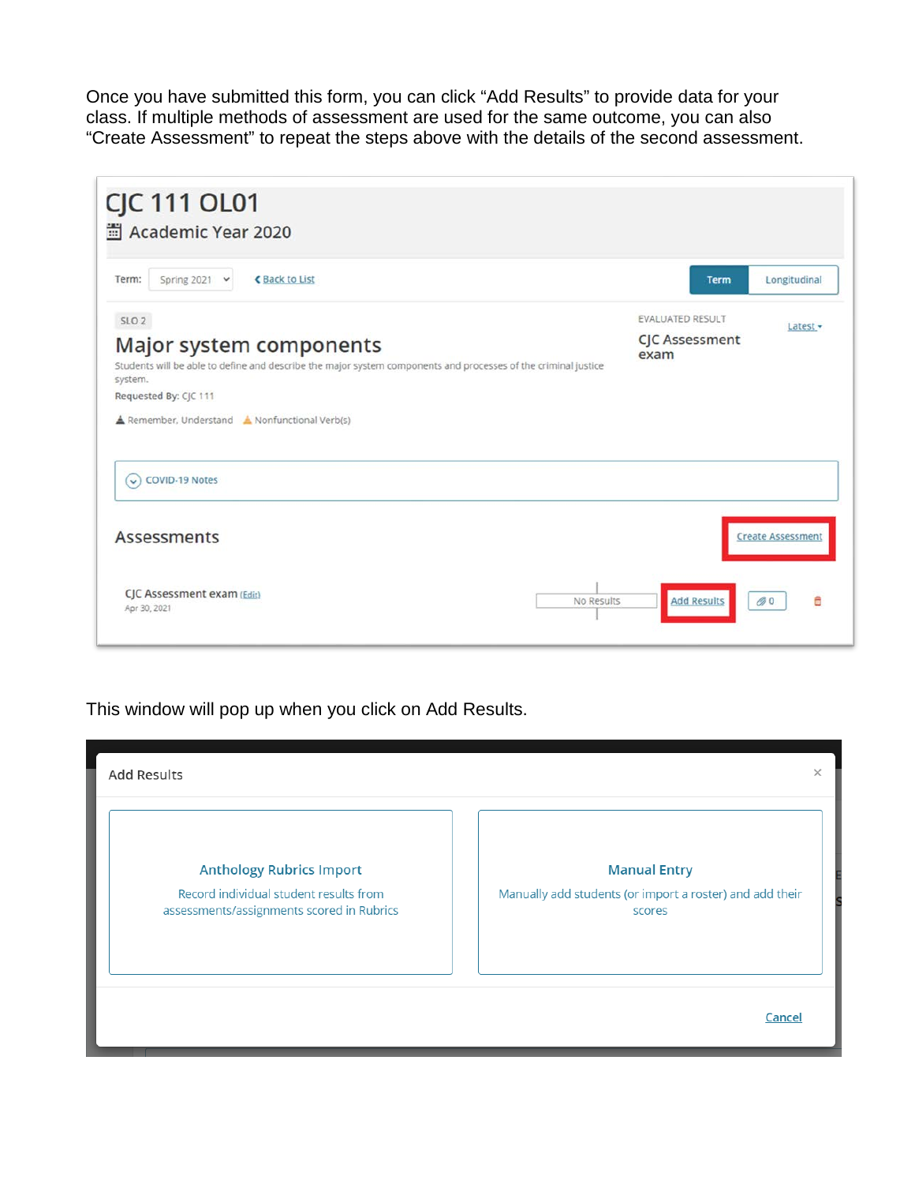Once you have submitted this form, you can click "Add Results" to provide data for your class. If multiple methods of assessment are used for the same outcome, you can also "Create Assessment" to repeat the steps above with the details of the second assessment.



This window will pop up when you click on Add Results.

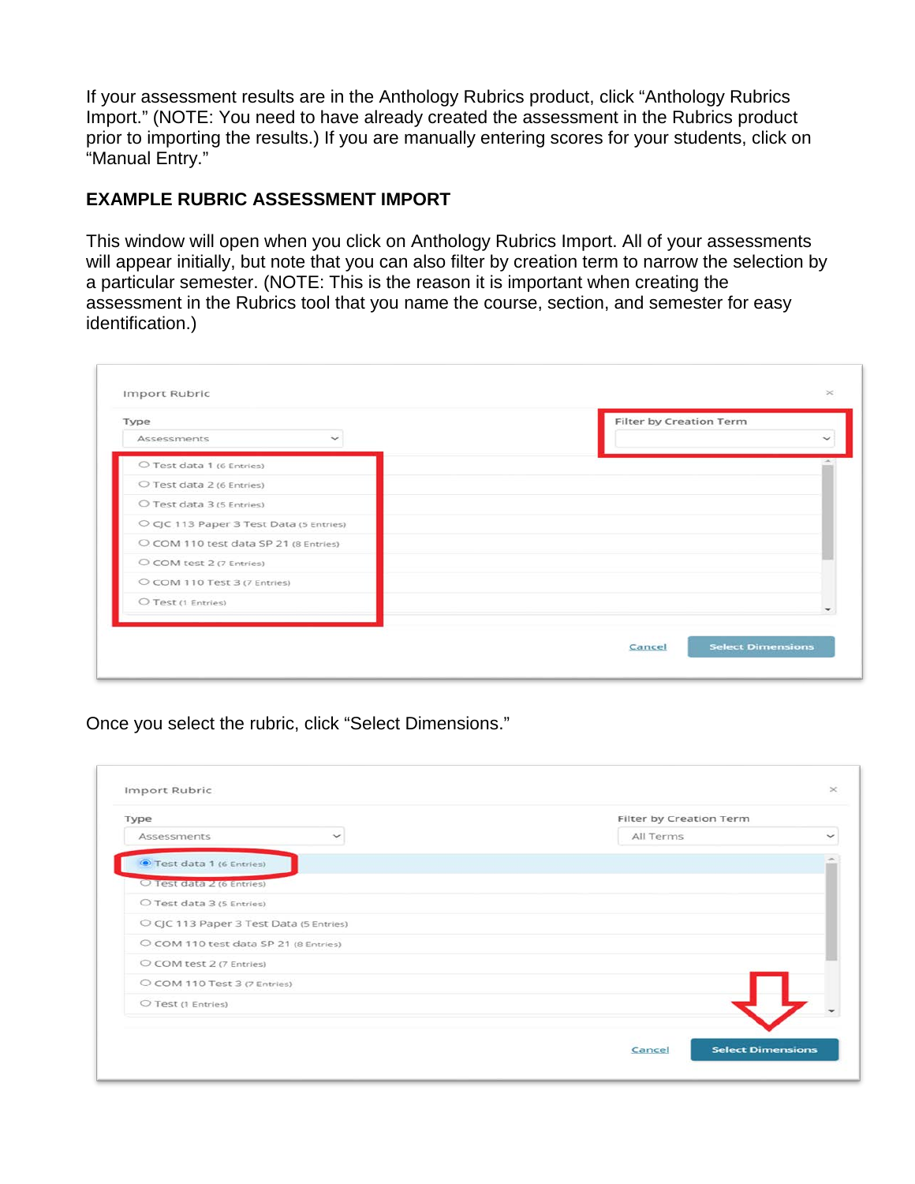If your assessment results are in the Anthology Rubrics product, click "Anthology Rubrics Import." (NOTE: You need to have already created the assessment in the Rubrics product prior to importing the results.) If you are manually entering scores for your students, click on "Manual Entry."

### **EXAMPLE RUBRIC ASSESSMENT IMPORT**

This window will open when you click on Anthology Rubrics Import. All of your assessments will appear initially, but note that you can also filter by creation term to narrow the selection by a particular semester. (NOTE: This is the reason it is important when creating the assessment in the Rubrics tool that you name the course, section, and semester for easy identification.)

| Type                                    | Filter by Creation Term |
|-----------------------------------------|-------------------------|
| Assessments<br>$\checkmark$             |                         |
| O Test data 1 (6 Entries)               |                         |
| O Test data 2 (6 Entries)               |                         |
| O Test data 3 (5 Entries)               |                         |
| O CJC 113 Paper 3 Test Data (5 Entries) |                         |
| O COM 110 test data SP 21 (8 Entries)   |                         |
| O COM test 2 (7 Entries)                |                         |
| O COM 110 Test 3 (7 Entries)            |                         |
| O Test (1 Entries)                      |                         |
|                                         |                         |

Once you select the rubric, click "Select Dimensions."

| Type                                    | Filter by Creation Term            |
|-----------------------------------------|------------------------------------|
| Assessments                             | All Terms                          |
| Test data 1 (6 Entries)                 |                                    |
| O Test data 2 (6 Entries)               |                                    |
| O Test data 3 (5 Entries)               |                                    |
| O CJC 113 Paper 3 Test Data (5 Entries) |                                    |
| O COM 110 test data SP 21 (8 Entries)   |                                    |
| O COM test 2 (7 Entries)                |                                    |
| C COM 110 Test 3 (7 Entries)            |                                    |
| O Test (1 Entries)                      |                                    |
|                                         | <b>Select Dimensions</b><br>Cancel |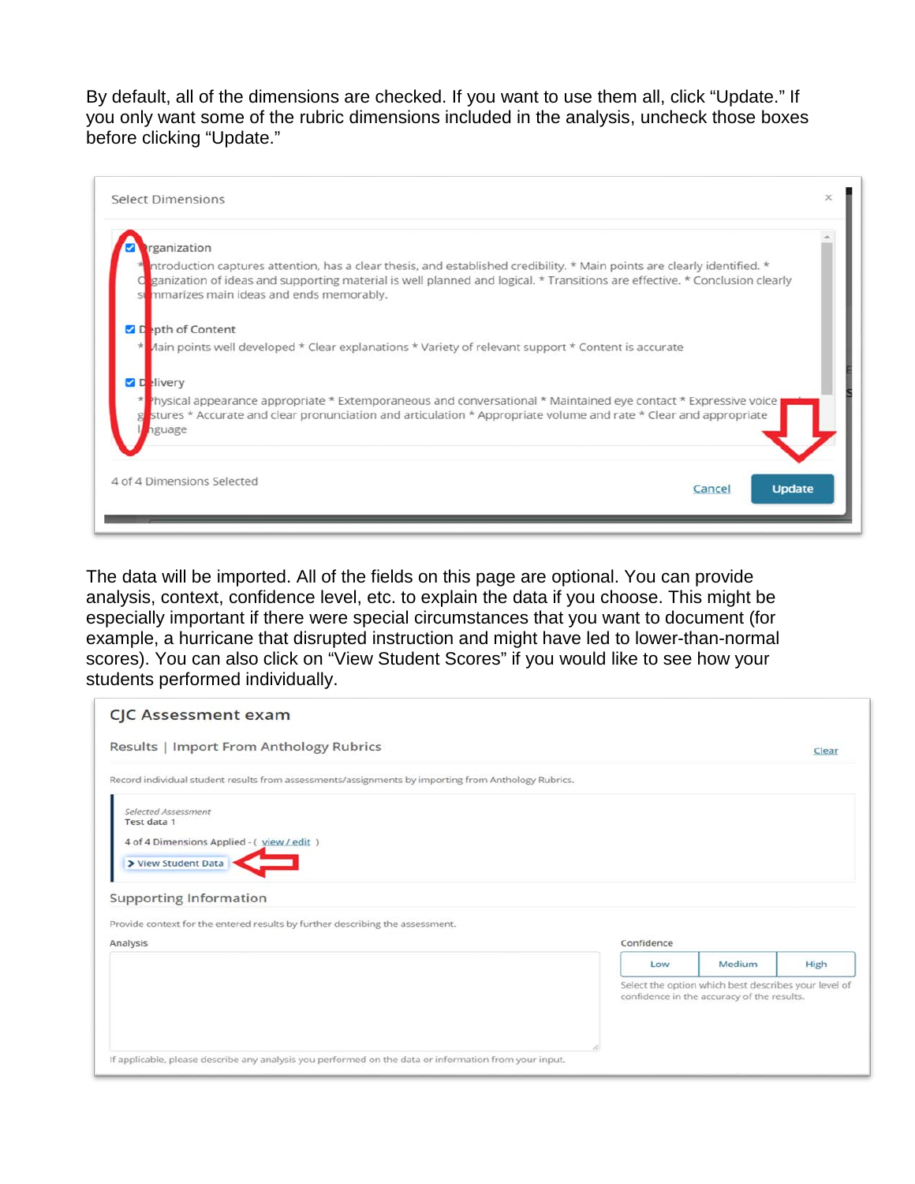By default, all of the dimensions are checked. If you want to use them all, click "Update." If you only want some of the rubric dimensions included in the analysis, uncheck those boxes before clicking "Update."

| rganization               |                                                                                                                                                                                                                                                                                                      |  |
|---------------------------|------------------------------------------------------------------------------------------------------------------------------------------------------------------------------------------------------------------------------------------------------------------------------------------------------|--|
|                           | ntroduction captures attention, has a clear thesis, and established credibility. * Main points are clearly identified. *<br>ganization of ideas and supporting material is well planned and logical. * Transitions are effective. * Conclusion clearly<br>stemmarizes main ideas and ends memorably. |  |
| <b>Z</b> Depth of Content |                                                                                                                                                                                                                                                                                                      |  |
|                           | Jain points well developed * Clear explanations * Variety of relevant support * Content is accurate                                                                                                                                                                                                  |  |
| <b>Z</b> Delivery         |                                                                                                                                                                                                                                                                                                      |  |
| nguage                    | <sup>9</sup> hysical appearance appropriate * Extemporaneous and conversational * Maintained eye contact * Expressive voice<br>stures * Accurate and clear pronunciation and articulation * Appropriate volume and rate * Clear and appropriate                                                      |  |
|                           |                                                                                                                                                                                                                                                                                                      |  |

The data will be imported. All of the fields on this page are optional. You can provide analysis, context, confidence level, etc. to explain the data if you choose. This might be especially important if there were special circumstances that you want to document (for example, a hurricane that disrupted instruction and might have led to lower-than-normal scores). You can also click on "View Student Scores" if you would like to see how your students performed individually.

| Results   Import From Anthology Rubrics                                                             |            |                                                                                                    | Clear |
|-----------------------------------------------------------------------------------------------------|------------|----------------------------------------------------------------------------------------------------|-------|
| Record individual student results from assessments/assignments by importing from Anthology Rubrics. |            |                                                                                                    |       |
| Selected Assessment<br>Test data 1                                                                  |            |                                                                                                    |       |
| 4 of 4 Dimensions Applied - (yiew / edit)                                                           |            |                                                                                                    |       |
| View Student Data                                                                                   |            |                                                                                                    |       |
| <b>Supporting Information</b>                                                                       |            |                                                                                                    |       |
| Provide context for the entered results by further describing the assessment.                       |            |                                                                                                    |       |
| Analysis                                                                                            | Confidence |                                                                                                    |       |
|                                                                                                     | Low        | Medium                                                                                             | High  |
|                                                                                                     |            | Select the option which best describes your level of<br>confidence in the accuracy of the results. |       |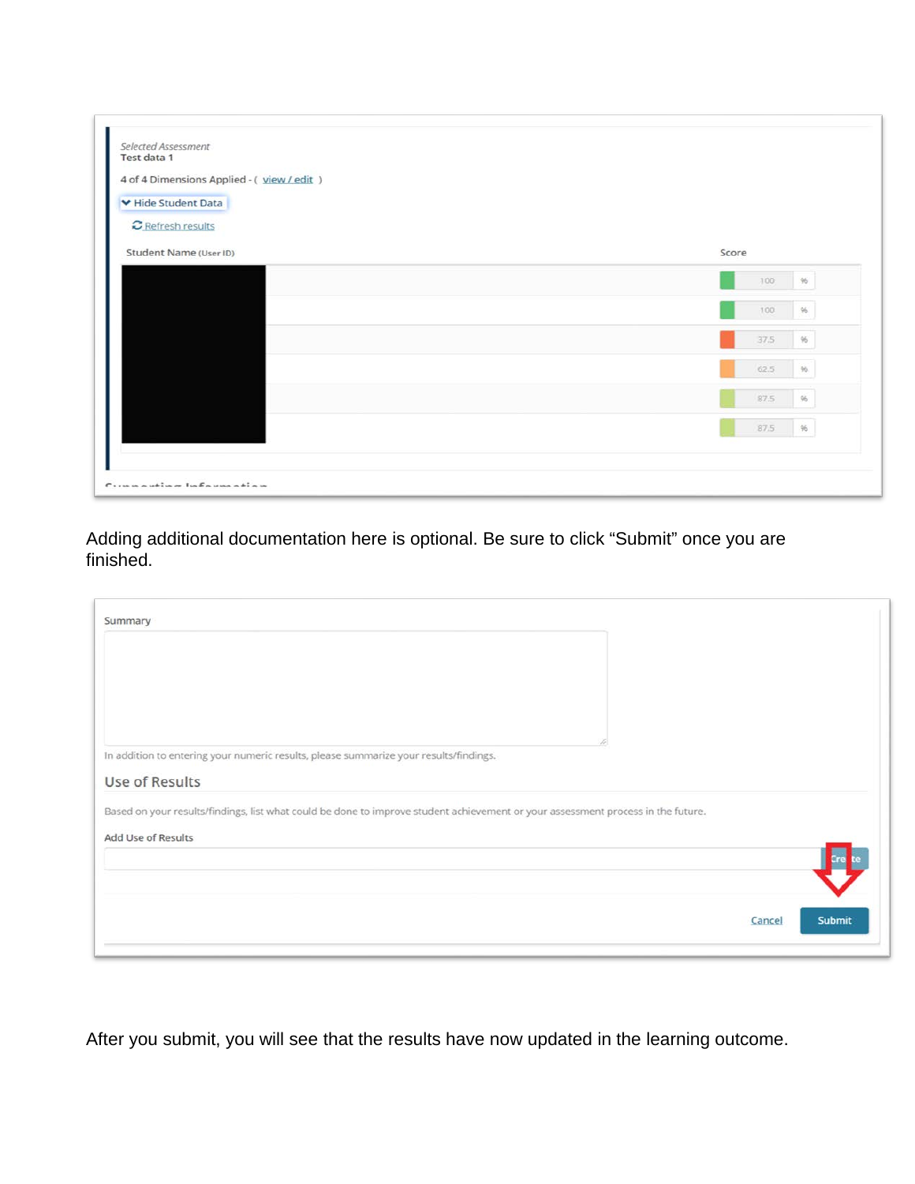| Score       |
|-------------|
| 100<br>96   |
| 100<br>$96$ |
| 37.5<br>96. |
| 62.5<br>96. |
| 87.5<br>96  |
| 87.5<br>.96 |
|             |

Adding additional documentation here is optional. Be sure to click "Submit" once you are finished.

| In addition to entering your numeric results, please summarize your results/findings.                                            |                  |  |
|----------------------------------------------------------------------------------------------------------------------------------|------------------|--|
| Use of Results                                                                                                                   |                  |  |
| Based on your results/findings, list what could be done to improve student achievement or your assessment process in the future. |                  |  |
| Add Use of Results                                                                                                               |                  |  |
|                                                                                                                                  |                  |  |
|                                                                                                                                  |                  |  |
|                                                                                                                                  | Submit<br>Cancel |  |

After you submit, you will see that the results have now updated in the learning outcome.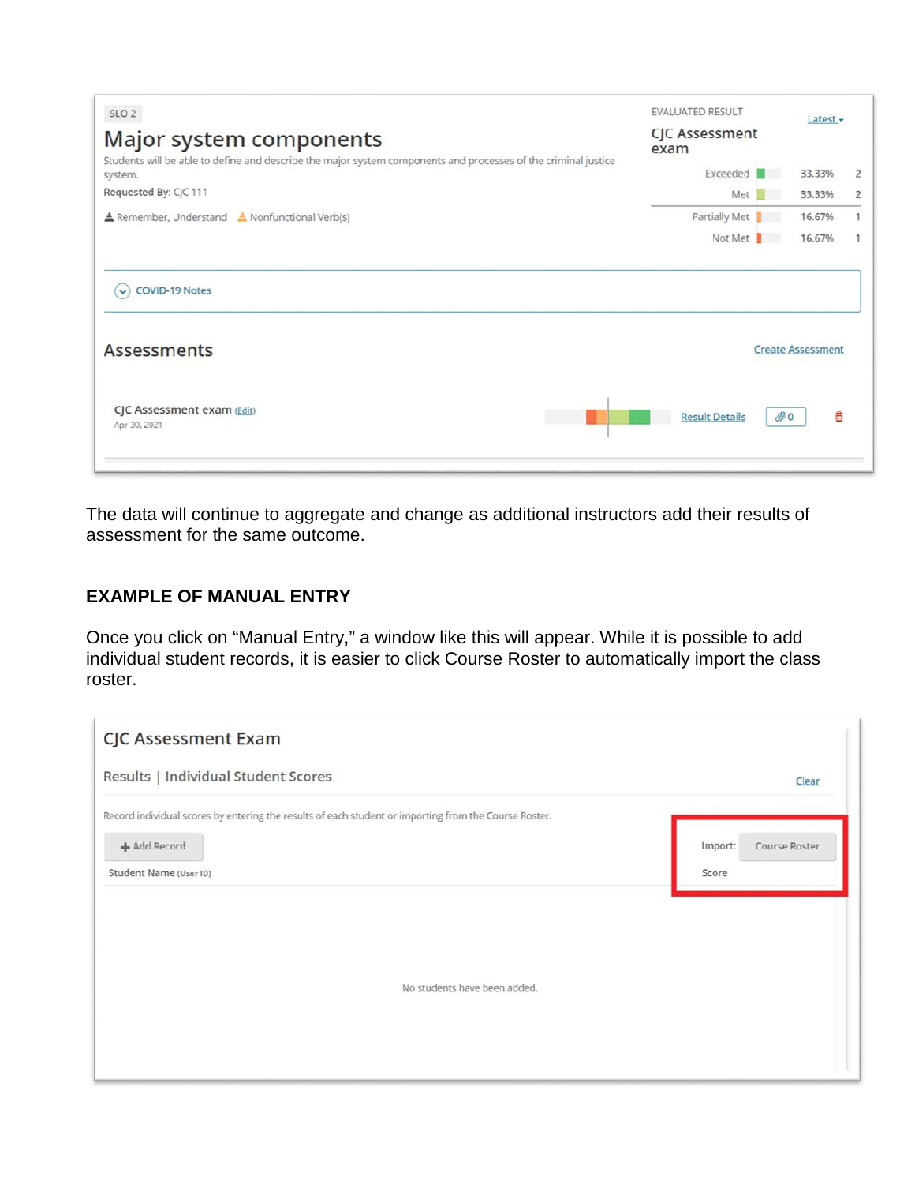| SLO <sub>2</sub><br>Major system components                                                                               | <b>EVALUATED RESULT</b><br><b>CJC Assessment</b><br>exam | Latest $\sim$            |                |
|---------------------------------------------------------------------------------------------------------------------------|----------------------------------------------------------|--------------------------|----------------|
| Students will be able to define and describe the major system components and processes of the criminal justice<br>system. | Exceeded                                                 | 33.33%                   | $\overline{2}$ |
| Requested By: CJC 111                                                                                                     | Met                                                      | 33.33%<br>m              | $\overline{2}$ |
| <b>A</b> Remember, Understand <b>A</b> Nonfunctional Verb(s)                                                              | Partially Met                                            | 16.67%                   | 1              |
|                                                                                                                           | Not Met                                                  | 16.67%                   | 1              |
| <b>COVID-19 Notes</b><br>$\checkmark$<br><b>Assessments</b>                                                               |                                                          | <b>Create Assessment</b> |                |
| CJC Assessment exam (Edit)<br>Apr 30, 2021                                                                                | <b>Result Details</b>                                    | 0                        | 侖              |

The data will continue to aggregate and change as additional instructors add their results of assessment for the same outcome.

#### **EXAMPLE OF MANUAL ENTRY**

Once you click on "Manual Entry," a window like this will appear. While it is possible to add individual student records, it is easier to click Course Roster to automatically import the class roster.

| <b>CJC Assessment Exam</b>                                                                                                                      |                                   |
|-------------------------------------------------------------------------------------------------------------------------------------------------|-----------------------------------|
| Results   Individual Student Scores                                                                                                             | Clear                             |
| Record individual scores by entering the results of each student or importing from the Course Roster.<br>+ Add Record<br>Student Name (User ID) | Import:<br>Course Roster<br>Score |
| No students have been added.                                                                                                                    |                                   |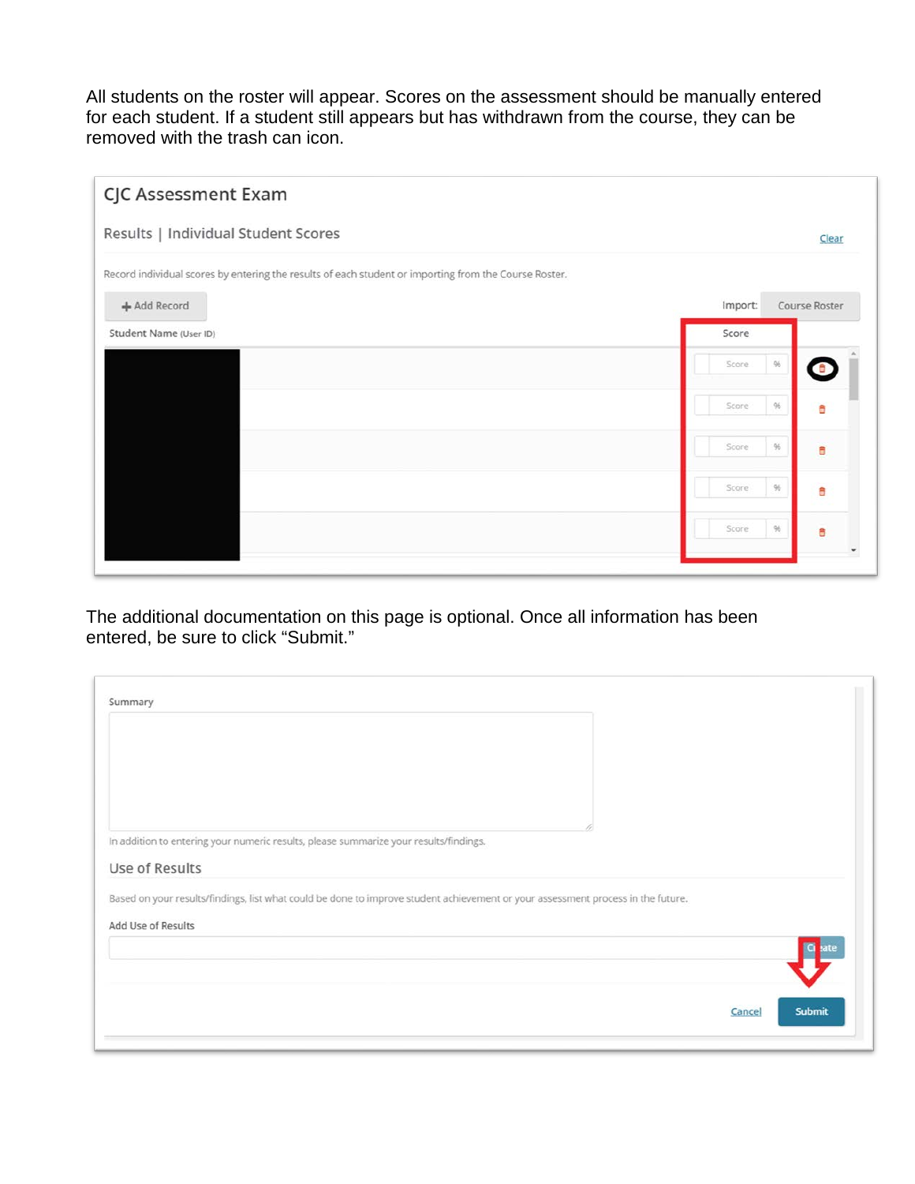All students on the roster will appear. Scores on the assessment should be manually entered for each student. If a student still appears but has withdrawn from the course, they can be removed with the trash can icon.

| CJC Assessment Exam                                                                                   |                          |
|-------------------------------------------------------------------------------------------------------|--------------------------|
| Results   Individual Student Scores                                                                   | Clear                    |
| Record individual scores by entering the results of each student or importing from the Course Roster. |                          |
| + Add Record                                                                                          | Import:<br>Course Roster |
| Student Name (User ID)                                                                                | Score                    |
|                                                                                                       | $96$<br>Score<br>ô       |
|                                                                                                       | 96<br>Score<br>â         |
|                                                                                                       | 96<br>Score<br>â         |
|                                                                                                       | 96<br>Score<br>Ô         |
|                                                                                                       | $96$<br>Score<br>â       |
|                                                                                                       |                          |

The additional documentation on this page is optional. Once all information has been entered, be sure to click "Submit."

| Summary                                                                                                                                                |  |
|--------------------------------------------------------------------------------------------------------------------------------------------------------|--|
|                                                                                                                                                        |  |
| In addition to entering your numeric results, please summarize your results/findings.                                                                  |  |
| Use of Results                                                                                                                                         |  |
| Based on your results/findings, list what could be done to improve student achievement or your assessment process in the future.<br>Add Use of Results |  |
|                                                                                                                                                        |  |
|                                                                                                                                                        |  |
|                                                                                                                                                        |  |